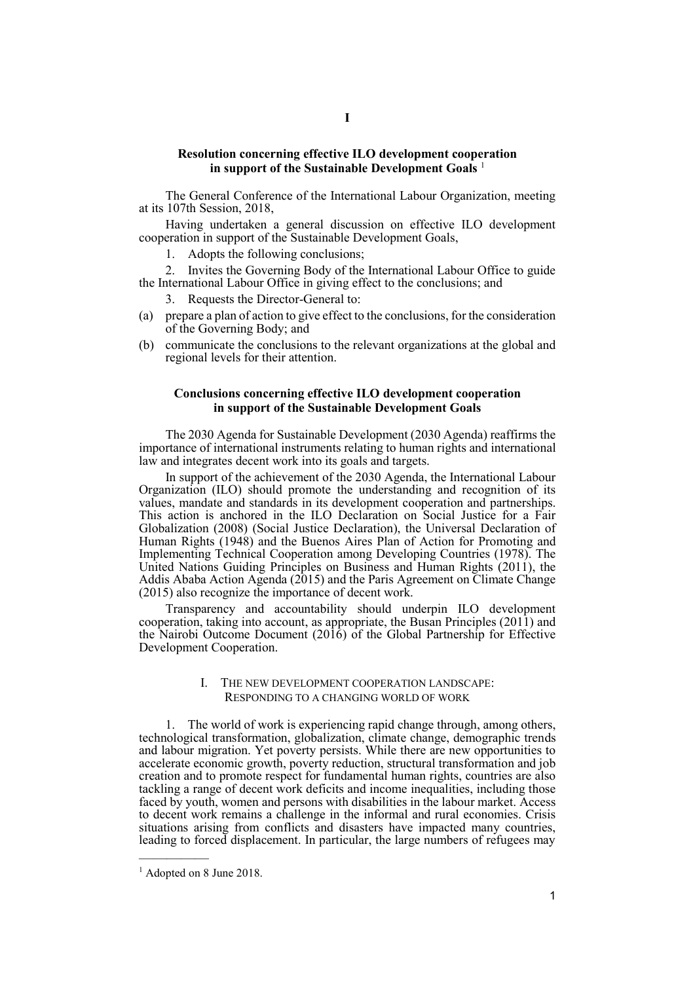## **Resolution concerning effective ILO development cooperation in support of the Sustainable Development Goals** <sup>1</sup>

The General Conference of the International Labour Organization, meeting at its 107th Session, 2018,

Having undertaken a general discussion on effective ILO development cooperation in support of the Sustainable Development Goals,

1. Adopts the following conclusions;

2. Invites the Governing Body of the International Labour Office to guide the International Labour Office in giving effect to the conclusions; and

Requests the Director-General to:

- (a) prepare a plan of action to give effect to the conclusions, for the consideration of the Governing Body; and
- (b) communicate the conclusions to the relevant organizations at the global and regional levels for their attention.

# **Conclusions concerning effective ILO development cooperation in support of the Sustainable Development Goals**

The 2030 Agenda for Sustainable Development (2030 Agenda) reaffirms the importance of international instruments relating to human rights and international law and integrates decent work into its goals and targets.

In support of the achievement of the 2030 Agenda, the International Labour Organization (ILO) should promote the understanding and recognition of its values, mandate and standards in its development cooperation and partnerships. This action is anchored in the ILO Declaration on Social Justice for a Fair Globalization (2008) (Social Justice Declaration), the Universal Declaration of Human Rights (1948) and the Buenos Aires Plan of Action for Promoting and Implementing Technical Cooperation among Developing Countries (1978). The United Nations Guiding Principles on Business and Human Rights (2011), the Addis Ababa Action Agenda (2015) and the Paris Agreement on Climate Change (2015) also recognize the importance of decent work.

Transparency and accountability should underpin ILO development cooperation, taking into account, as appropriate, the Busan Principles (2011) and the Nairobi Outcome Document (2016) of the Global Partnership for Effective Development Cooperation.

# I. THE NEW DEVELOPMENT COOPERATION LANDSCAPE: RESPONDING TO A CHANGING WORLD OF WORK

1. The world of work is experiencing rapid change through, among others, technological transformation, globalization, climate change, demographic trends and labour migration. Yet poverty persists. While there are new opportunities to accelerate economic growth, poverty reduction, structural transformation and job creation and to promote respect for fundamental human rights, countries are also tackling a range of decent work deficits and income inequalities, including those faced by youth, women and persons with disabilities in the labour market. Access to decent work remains a challenge in the informal and rural economies. Crisis situations arising from conflicts and disasters have impacted many countries, leading to forced displacement. In particular, the large numbers of refugees may

—————

<sup>&</sup>lt;sup>1</sup> Adopted on 8 June 2018.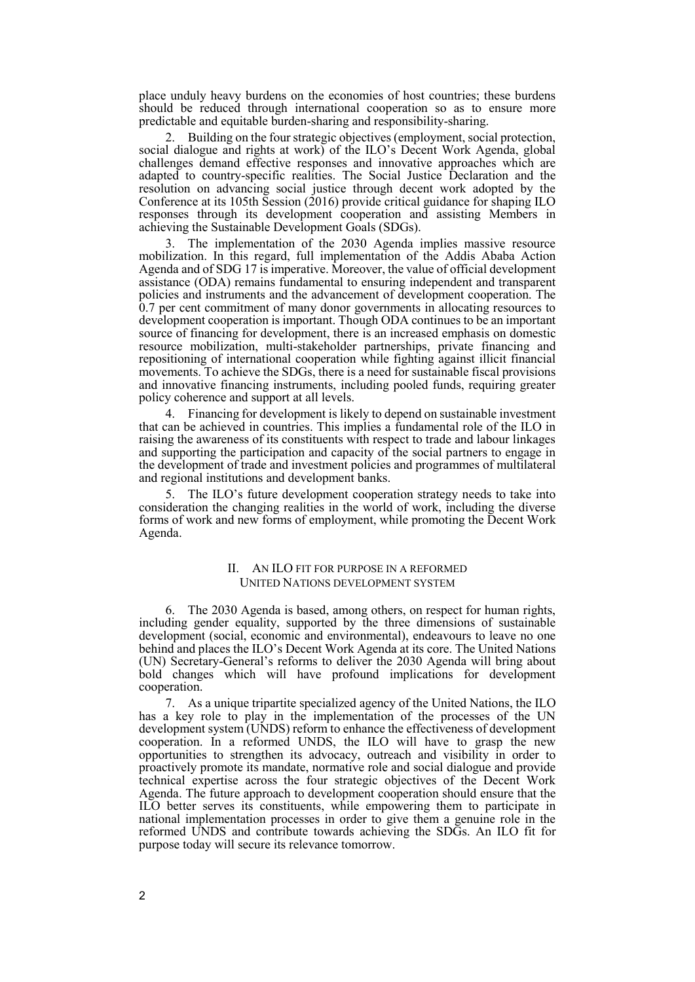place unduly heavy burdens on the economies of host countries; these burdens should be reduced through international cooperation so as to ensure more predictable and equitable burden-sharing and responsibility-sharing.

Building on the four strategic objectives (employment, social protection, social dialogue and rights at work) of the ILO's Decent Work Agenda, global challenges demand effective responses and innovative approaches which are adapted to country-specific realities. The Social Justice Declaration and the resolution on advancing social justice through decent work adopted by the Conference at its 105th Session (2016) provide critical guidance for shaping ILO responses through its development cooperation and assisting Members in achieving the Sustainable Development Goals (SDGs).

The implementation of the 2030 Agenda implies massive resource mobilization. In this regard, full implementation of the Addis Ababa Action Agenda and of SDG 17 is imperative. Moreover, the value of official development assistance (ODA) remains fundamental to ensuring independent and transparent policies and instruments and the advancement of development cooperation. The 0.7 per cent commitment of many donor governments in allocating resources to development cooperation is important. Though ODA continues to be an important source of financing for development, there is an increased emphasis on domestic resource mobilization, multi-stakeholder partnerships, private financing and repositioning of international cooperation while fighting against illicit financial movements. To achieve the SDGs, there is a need for sustainable fiscal provisions and innovative financing instruments, including pooled funds, requiring greater policy coherence and support at all levels.

4. Financing for development is likely to depend on sustainable investment that can be achieved in countries. This implies a fundamental role of the ILO in raising the awareness of its constituents with respect to trade and labour linkages and supporting the participation and capacity of the social partners to engage in the development of trade and investment policies and programmes of multilateral and regional institutions and development banks.

The ILO's future development cooperation strategy needs to take into consideration the changing realities in the world of work, including the diverse forms of work and new forms of employment, while promoting the Decent Work Agenda.

# II. AN ILO FIT FOR PURPOSE IN A REFORMED UNITED NATIONS DEVELOPMENT SYSTEM

6. The 2030 Agenda is based, among others, on respect for human rights, including gender equality, supported by the three dimensions of sustainable development (social, economic and environmental), endeavours to leave no one behind and places the ILO's Decent Work Agenda at its core. The United Nations (UN) Secretary-General's reforms to deliver the 2030 Agenda will bring about bold changes which will have profound implications for development cooperation.

7. As a unique tripartite specialized agency of the United Nations, the ILO has a key role to play in the implementation of the processes of the UN development system (UNDS) reform to enhance the effectiveness of development cooperation. In a reformed UNDS, the ILO will have to grasp the new opportunities to strengthen its advocacy, outreach and visibility in order to proactively promote its mandate, normative role and social dialogue and provide technical expertise across the four strategic objectives of the Decent Work Agenda. The future approach to development cooperation should ensure that the ILO better serves its constituents, while empowering them to participate in national implementation processes in order to give them a genuine role in the reformed UNDS and contribute towards achieving the SDGs. An ILO fit for purpose today will secure its relevance tomorrow.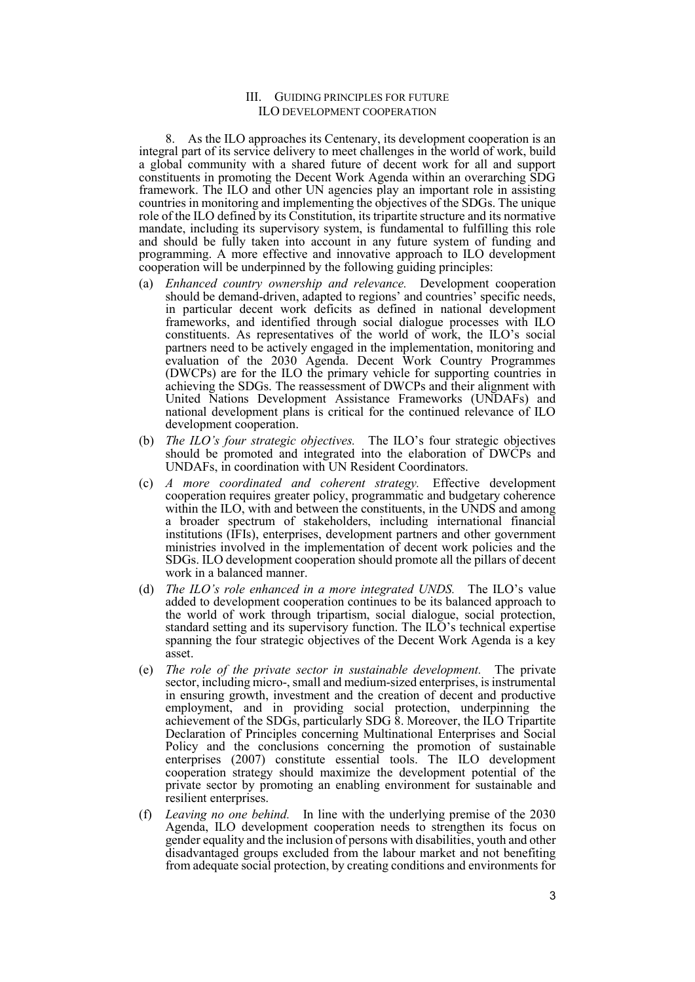### III. GUIDING PRINCIPLES FOR FUTURE ILO DEVELOPMENT COOPERATION

8. As the ILO approaches its Centenary, its development cooperation is an integral part of its service delivery to meet challenges in the world of work, build a global community with a shared future of decent work for all and support constituents in promoting the Decent Work Agenda within an overarching SDG framework. The ILO and other UN agencies play an important role in assisting countries in monitoring and implementing the objectives of the SDGs. The unique role of the ILO defined by its Constitution, its tripartite structure and its normative mandate, including its supervisory system, is fundamental to fulfilling this role and should be fully taken into account in any future system of funding and programming. A more effective and innovative approach to ILO development cooperation will be underpinned by the following guiding principles:

- (a) *Enhanced country ownership and relevance.* Development cooperation should be demand-driven, adapted to regions' and countries' specific needs, in particular decent work deficits as defined in national development frameworks, and identified through social dialogue processes with ILO constituents. As representatives of the world of work, the ILO's social partners need to be actively engaged in the implementation, monitoring and evaluation of the 2030 Agenda. Decent Work Country Programmes (DWCPs) are for the ILO the primary vehicle for supporting countries in achieving the SDGs. The reassessment of DWCPs and their alignment with United Nations Development Assistance Frameworks (UNDAFs) and national development plans is critical for the continued relevance of ILO development cooperation.
- (b) *The ILO's four strategic objectives.* The ILO's four strategic objectives should be promoted and integrated into the elaboration of DWCPs and UNDAFs, in coordination with UN Resident Coordinators.
- (c) *A more coordinated and coherent strategy.* Effective development cooperation requires greater policy, programmatic and budgetary coherence within the ILO, with and between the constituents, in the UNDS and among a broader spectrum of stakeholders, including international financial institutions (IFIs), enterprises, development partners and other government ministries involved in the implementation of decent work policies and the SDGs. ILO development cooperation should promote all the pillars of decent work in a balanced manner.
- (d) *The ILO's role enhanced in a more integrated UNDS.* The ILO's value added to development cooperation continues to be its balanced approach to the world of work through tripartism, social dialogue, social protection, standard setting and its supervisory function. The ILO's technical expertise spanning the four strategic objectives of the Decent Work Agenda is a key asset.
- (e) *The role of the private sector in sustainable development.* The private sector, including micro-, small and medium-sized enterprises, is instrumental in ensuring growth, investment and the creation of decent and productive employment, and in providing social protection, underpinning the achievement of the SDGs, particularly SDG 8. Moreover, the ILO Tripartite Declaration of Principles concerning Multinational Enterprises and Social Policy and the conclusions concerning the promotion of sustainable enterprises (2007) constitute essential tools. The ILO development cooperation strategy should maximize the development potential of the private sector by promoting an enabling environment for sustainable and resilient enterprises.
- (f) *Leaving no one behind.* In line with the underlying premise of the 2030 Agenda, ILO development cooperation needs to strengthen its focus on gender equality and the inclusion of persons with disabilities, youth and other disadvantaged groups excluded from the labour market and not benefiting from adequate social protection, by creating conditions and environments for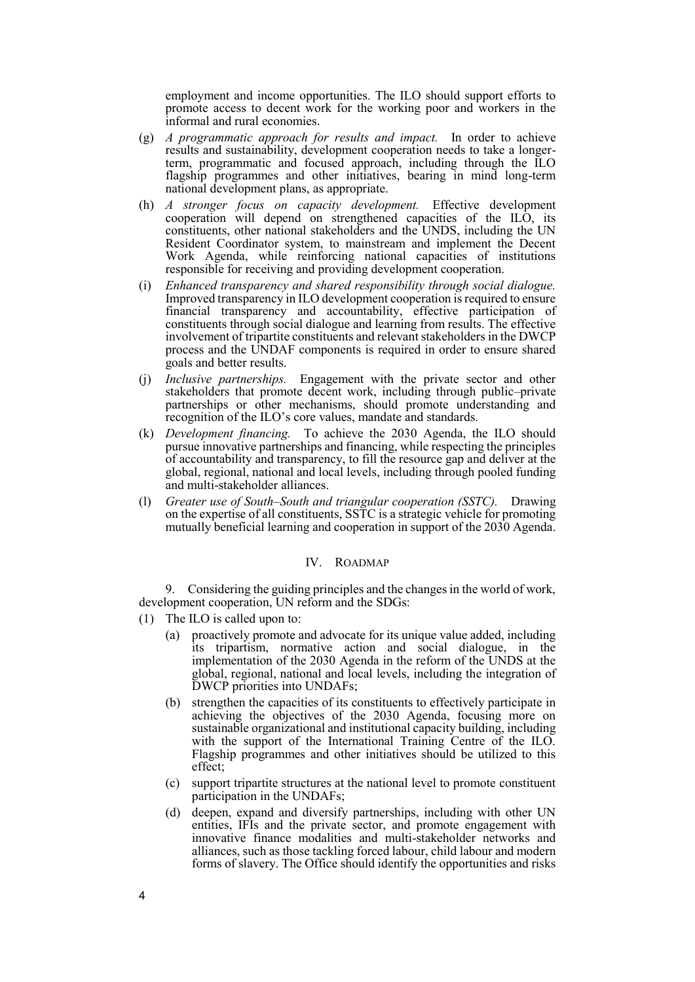employment and income opportunities. The ILO should support efforts to promote access to decent work for the working poor and workers in the informal and rural economies.

- (g) *A programmatic approach for results and impact.* In order to achieve results and sustainability, development cooperation needs to take a longerterm, programmatic and focused approach, including through the ILO flagship programmes and other initiatives, bearing in mind long-term national development plans, as appropriate.
- (h) *A stronger focus on capacity development.* Effective development cooperation will depend on strengthened capacities of the ILO, its constituents, other national stakeholders and the UNDS, including the UN Resident Coordinator system, to mainstream and implement the Decent Work Agenda, while reinforcing national capacities of institutions responsible for receiving and providing development cooperation.
- (i) *Enhanced transparency and shared responsibility through social dialogue.* Improved transparency in ILO development cooperation is required to ensure financial transparency and accountability, effective participation of constituents through social dialogue and learning from results. The effective involvement of tripartite constituents and relevant stakeholders in the DWCP process and the UNDAF components is required in order to ensure shared goals and better results.
- (j) *Inclusive partnerships.* Engagement with the private sector and other stakeholders that promote decent work, including through public–private partnerships or other mechanisms, should promote understanding and recognition of the ILO's core values, mandate and standards.
- (k) *Development financing.* To achieve the 2030 Agenda, the ILO should pursue innovative partnerships and financing, while respecting the principles of accountability and transparency, to fill the resource gap and deliver at the global, regional, national and local levels, including through pooled funding and multi-stakeholder alliances.
- (l) *Greater use of South–South and triangular cooperation (SSTC).* Drawing on the expertise of all constituents, SSTC is a strategic vehicle for promoting mutually beneficial learning and cooperation in support of the 2030 Agenda.

#### IV. ROADMAP

9. Considering the guiding principles and the changes in the world of work, development cooperation, UN reform and the SDGs:

- (1) The ILO is called upon to:
	- (a) proactively promote and advocate for its unique value added, including its tripartism, normative action and social dialogue, in the implementation of the 2030 Agenda in the reform of the UNDS at the global, regional, national and local levels, including the integration of DWCP priorities into UNDAFs;
	- (b) strengthen the capacities of its constituents to effectively participate in achieving the objectives of the 2030 Agenda, focusing more on sustainable organizational and institutional capacity building, including with the support of the International Training Centre of the ILO. Flagship programmes and other initiatives should be utilized to this effect;
	- (c) support tripartite structures at the national level to promote constituent participation in the UNDAFs;
	- (d) deepen, expand and diversify partnerships, including with other UN entities, IFIs and the private sector, and promote engagement with innovative finance modalities and multi-stakeholder networks and alliances, such as those tackling forced labour, child labour and modern forms of slavery. The Office should identify the opportunities and risks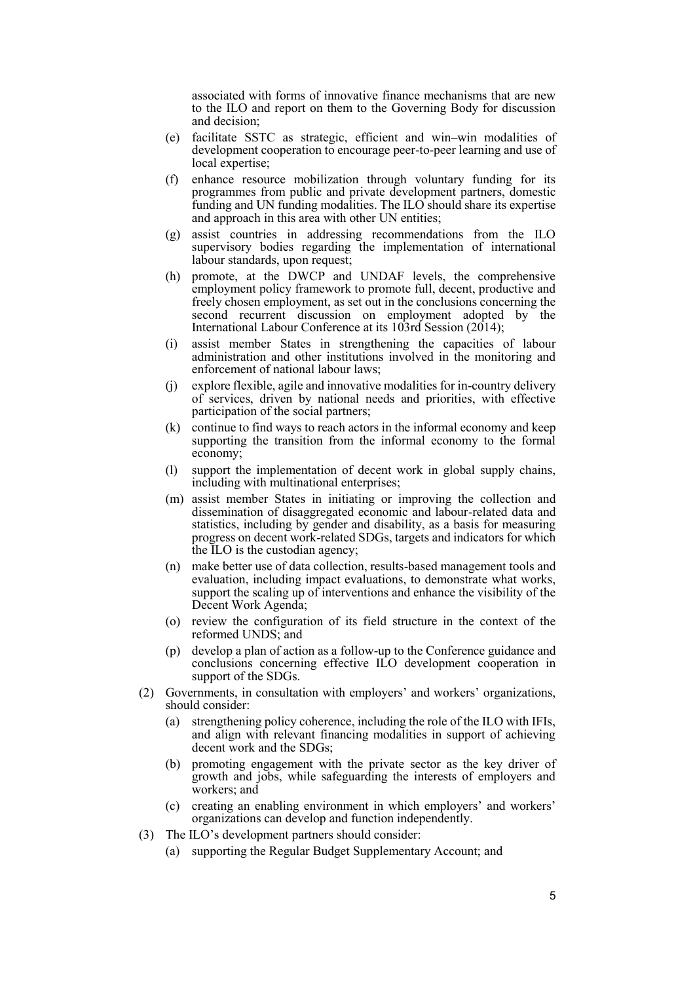associated with forms of innovative finance mechanisms that are new to the ILO and report on them to the Governing Body for discussion and decision;

- (e) facilitate SSTC as strategic, efficient and win–win modalities of development cooperation to encourage peer-to-peer learning and use of local expertise;
- (f) enhance resource mobilization through voluntary funding for its programmes from public and private development partners, domestic funding and UN funding modalities. The ILO should share its expertise and approach in this area with other UN entities;
- (g) assist countries in addressing recommendations from the ILO supervisory bodies regarding the implementation of international labour standards, upon request;
- (h) promote, at the DWCP and UNDAF levels, the comprehensive employment policy framework to promote full, decent, productive and freely chosen employment, as set out in the conclusions concerning the second recurrent discussion on employment adopted by the International Labour Conference at its 103rd Session (2014);
- (i) assist member States in strengthening the capacities of labour administration and other institutions involved in the monitoring and enforcement of national labour laws;
- (j) explore flexible, agile and innovative modalities for in-country delivery of services, driven by national needs and priorities, with effective participation of the social partners;
- (k) continue to find ways to reach actors in the informal economy and keep supporting the transition from the informal economy to the formal economy;
- (l) support the implementation of decent work in global supply chains, including with multinational enterprises;
- (m) assist member States in initiating or improving the collection and dissemination of disaggregated economic and labour-related data and statistics, including by gender and disability, as a basis for measuring progress on decent work-related SDGs, targets and indicators for which the ILO is the custodian agency;
- (n) make better use of data collection, results-based management tools and evaluation, including impact evaluations, to demonstrate what works, support the scaling up of interventions and enhance the visibility of the Decent Work Agenda;
- (o) review the configuration of its field structure in the context of the reformed UNDS; and
- (p) develop a plan of action as a follow-up to the Conference guidance and conclusions concerning effective ILO development cooperation in support of the SDGs.
- (2) Governments, in consultation with employers' and workers' organizations, should consider:
	- (a) strengthening policy coherence, including the role of the ILO with IFIs, and align with relevant financing modalities in support of achieving decent work and the SDGs;
	- (b) promoting engagement with the private sector as the key driver of growth and jobs, while safeguarding the interests of employers and workers; and
	- (c) creating an enabling environment in which employers' and workers' organizations can develop and function independently.
- (3) The ILO's development partners should consider:
	- (a) supporting the Regular Budget Supplementary Account; and